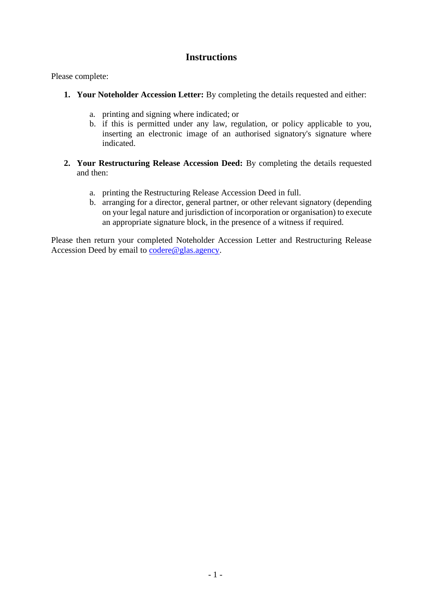# **Instructions**

Please complete:

- **1. Your Noteholder Accession Letter:** By completing the details requested and either:
	- a. printing and signing where indicated; or
	- b. if this is permitted under any law, regulation, or policy applicable to you, inserting an electronic image of an authorised signatory's signature where indicated.
- **2. Your Restructuring Release Accession Deed:** By completing the details requested and then:
	- a. printing the Restructuring Release Accession Deed in full.
	- b. arranging for a director, general partner, or other relevant signatory (depending on your legal nature and jurisdiction of incorporation or organisation) to execute an appropriate signature block, in the presence of a witness if required.

Please then return your completed Noteholder Accession Letter and Restructuring Release Accession Deed by email to [codere@glas.agency.](mailto:codere@glas.agency)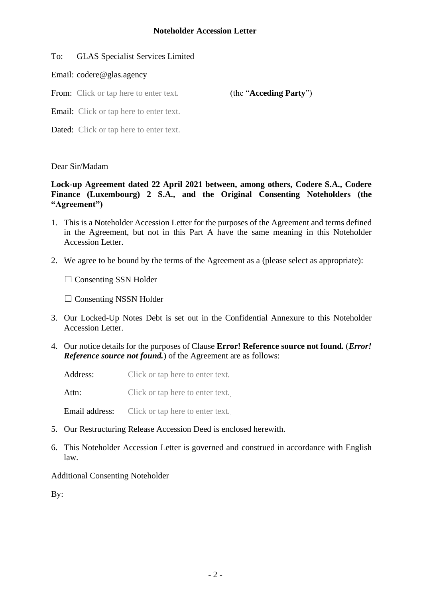## To: GLAS Specialist Services Limited

## Email: codere@glas.agency

From: Click or tap here to enter text. (the "**Acceding Party**")

Email: Click or tap here to enter text.

Dated: Click or tap here to enter text.

## Dear Sir/Madam

## **Lock-up Agreement dated 22 April 2021 between, among others, Codere S.A., Codere Finance (Luxembourg) 2 S.A., and the Original Consenting Noteholders (the "Agreement")**

- 1. This is a Noteholder Accession Letter for the purposes of the Agreement and terms defined in the Agreement, but not in this Part A have the same meaning in this Noteholder Accession Letter.
- 2. We agree to be bound by the terms of the Agreement as a (please select as appropriate):

□ Consenting SSN Holder

 $\Box$  Consenting NSSN Holder

- 3. Our Locked-Up Notes Debt is set out in the Confidential Annexure to this Noteholder Accession Letter.
- 4. Our notice details for the purposes of Clause **Error! Reference source not found.** (*Error! Reference source not found.*) of the Agreement are as follows:

Address: Click or tap here to enter text.

Attn: Click or tap here to enter text.

Email address: Click or tap here to enter text.

- 5. Our Restructuring Release Accession Deed is enclosed herewith.
- 6. This Noteholder Accession Letter is governed and construed in accordance with English law.

# Additional Consenting Noteholder

By: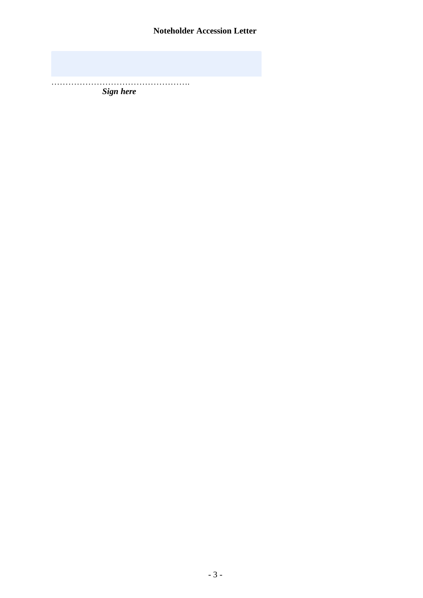………………………………………….

*Sign here*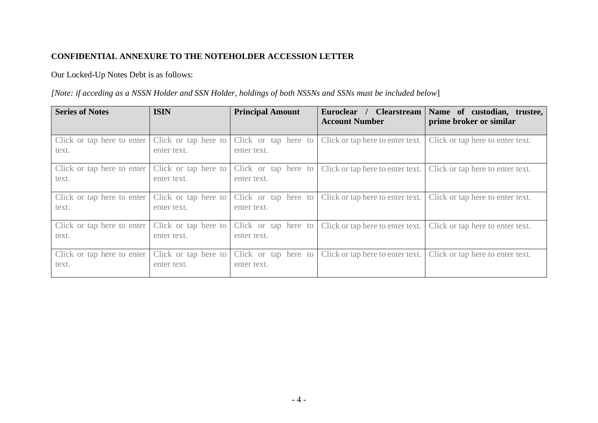## **CONFIDENTIAL ANNEXURE TO THE NOTEHOLDER ACCESSION LETTER**

# Our Locked-Up Notes Debt is as follows:

## *[Note: if acceding as a NSSN Holder and SSN Holder, holdings of both NSSNs and SSNs must be included below*]

| <b>Series of Notes</b>              | <b>ISIN</b>                         | <b>Principal Amount</b>             | Euroclear / Clearstream<br><b>Account Number</b> | Name of custodian, trustee,<br>prime broker or similar |
|-------------------------------------|-------------------------------------|-------------------------------------|--------------------------------------------------|--------------------------------------------------------|
| Click or tap here to enter<br>text. | Click or tap here to<br>enter text. | Click or tap here to<br>enter text. | Click or tap here to enter text.                 | Click or tap here to enter text.                       |
| Click or tap here to enter<br>text. | Click or tap here to<br>enter text. | Click or tap here to<br>enter text. | Click or tap here to enter text.                 | Click or tap here to enter text.                       |
| Click or tap here to enter<br>text. | Click or tap here to<br>enter text. | Click or tap here to<br>enter text. | Click or tap here to enter text.                 | Click or tap here to enter text.                       |
| Click or tap here to enter<br>text. | Click or tap here to<br>enter text. | Click or tap here to<br>enter text. | Click or tap here to enter text.                 | Click or tap here to enter text.                       |
| Click or tap here to enter<br>text. | Click or tap here to<br>enter text. | Click or tap here to<br>enter text. | Click or tap here to enter text.                 | Click or tap here to enter text.                       |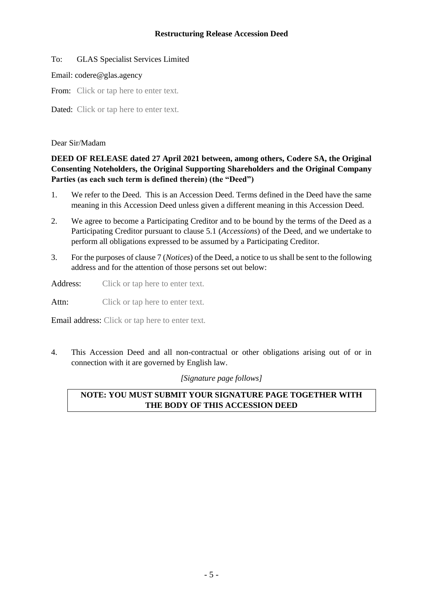#### **Restructuring Release Accession Deed**

#### To: GLAS Specialist Services Limited

#### Email: codere@glas.agency

From: Click or tap here to enter text.

Dated: Click or tap here to enter text.

#### Dear Sir/Madam

## **DEED OF RELEASE dated 27 April 2021 between, among others, Codere SA, the Original Consenting Noteholders, the Original Supporting Shareholders and the Original Company Parties (as each such term is defined therein) (the "Deed")**

- 1. We refer to the Deed. This is an Accession Deed. Terms defined in the Deed have the same meaning in this Accession Deed unless given a different meaning in this Accession Deed.
- 2. We agree to become a Participating Creditor and to be bound by the terms of the Deed as a Participating Creditor pursuant to clause 5.1 (*Accessions*) of the Deed, and we undertake to perform all obligations expressed to be assumed by a Participating Creditor.
- 3. For the purposes of clause 7 (*Notices*) of the Deed, a notice to us shall be sent to the following address and for the attention of those persons set out below:

Address: Click or tap here to enter text.

Attn: Click or tap here to enter text.

Email address: Click or tap here to enter text.

4. This Accession Deed and all non-contractual or other obligations arising out of or in connection with it are governed by English law.

*[Signature page follows]* 

# **NOTE: YOU MUST SUBMIT YOUR SIGNATURE PAGE TOGETHER WITH THE BODY OF THIS ACCESSION DEED**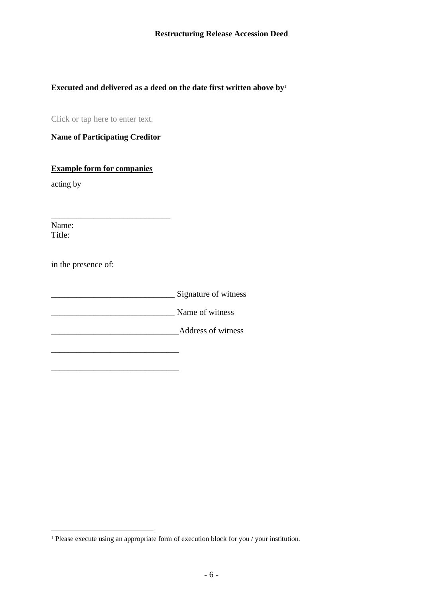# **Executed and delivered as a deed on the date first written above by**<sup>1</sup>

Click or tap here to enter text.

**Name of Participating Creditor**

**Example form for companies**

\_\_\_\_\_\_\_\_\_\_\_\_\_\_\_\_\_\_\_\_\_\_\_\_\_\_\_\_

\_\_\_\_\_\_\_\_\_\_\_\_\_\_\_\_\_\_\_\_\_\_\_\_\_\_\_\_\_\_

acting by

Name: Title:

in the presence of:

| Signature of witness |
|----------------------|
| Name of witness      |
| Address of witness   |
|                      |

<sup>&</sup>lt;sup>1</sup> Please execute using an appropriate form of execution block for you / your institution.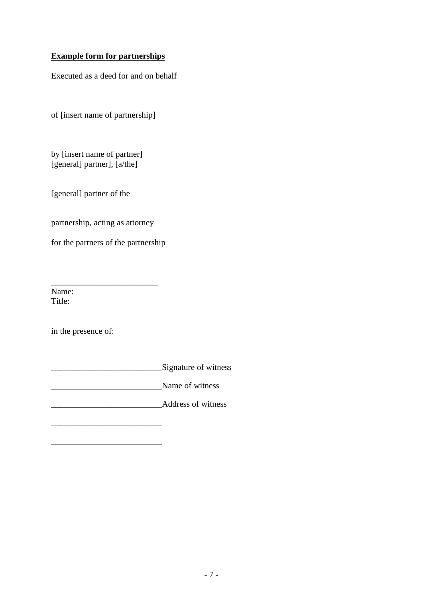## **Example form for partnerships**

Executed as a deed for and on behalf

of [insert name of partnership]

by [insert name of partner] [general] partner], [a/the]

[general] partner of the

partnership, acting as attorney

for the partners of the partnership

\_\_\_\_\_\_\_\_\_\_\_\_\_\_\_\_\_\_\_\_\_\_\_\_\_

\_\_\_\_\_\_\_\_\_\_\_\_\_\_\_\_\_\_\_\_\_\_\_\_\_\_

\_\_\_\_\_\_\_\_\_\_\_\_\_\_\_\_\_\_\_\_\_\_\_\_\_\_

Name: Title:

in the presence of:

\_\_\_\_\_\_\_\_\_\_\_\_\_\_\_\_\_\_\_\_\_\_\_\_\_\_Signature of witness

 $\blacksquare$  Name of witness

Address of witness